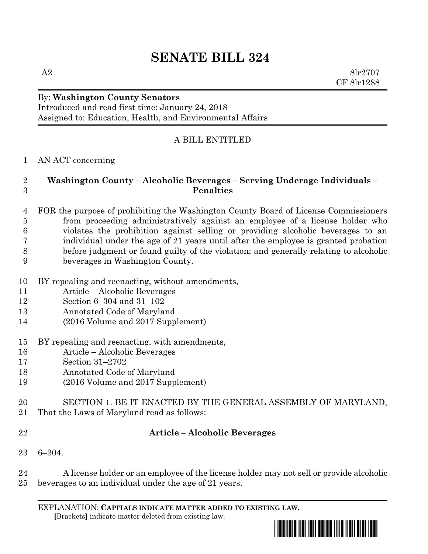# **SENATE BILL 324**

A2  $8\text{lr}2707$ CF 8lr1288

# By: **Washington County Senators**

Introduced and read first time: January 24, 2018 Assigned to: Education, Health, and Environmental Affairs

## A BILL ENTITLED

#### AN ACT concerning

#### **Washington County – Alcoholic Beverages – Serving Underage Individuals – Penalties**

- FOR the purpose of prohibiting the Washington County Board of License Commissioners from proceeding administratively against an employee of a license holder who violates the prohibition against selling or providing alcoholic beverages to an individual under the age of 21 years until after the employee is granted probation before judgment or found guilty of the violation; and generally relating to alcoholic beverages in Washington County.
- BY repealing and reenacting, without amendments,
- Article Alcoholic Beverages
- Section 6–304 and 31–102
- Annotated Code of Maryland
- (2016 Volume and 2017 Supplement)
- BY repealing and reenacting, with amendments,
- Article Alcoholic Beverages
- Section 31–2702
- Annotated Code of Maryland
- (2016 Volume and 2017 Supplement)
- SECTION 1. BE IT ENACTED BY THE GENERAL ASSEMBLY OF MARYLAND, That the Laws of Maryland read as follows:
- 

## **Article – Alcoholic Beverages**

6–304.

 A license holder or an employee of the license holder may not sell or provide alcoholic beverages to an individual under the age of 21 years.

EXPLANATION: **CAPITALS INDICATE MATTER ADDED TO EXISTING LAW**.  **[**Brackets**]** indicate matter deleted from existing law.

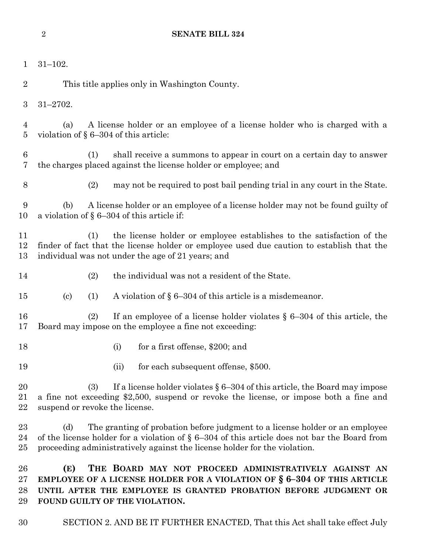| 1                     | $31 - 102.$                                                                                                                                                                                                                                                         |
|-----------------------|---------------------------------------------------------------------------------------------------------------------------------------------------------------------------------------------------------------------------------------------------------------------|
| $\overline{2}$        | This title applies only in Washington County.                                                                                                                                                                                                                       |
| $\boldsymbol{3}$      | $31 - 2702.$                                                                                                                                                                                                                                                        |
| 4<br>$\overline{5}$   | A license holder or an employee of a license holder who is charged with a<br>(a)<br>violation of $\S 6-304$ of this article:                                                                                                                                        |
| $\boldsymbol{6}$<br>7 | shall receive a summons to appear in court on a certain day to answer<br>(1)<br>the charges placed against the license holder or employee; and                                                                                                                      |
| 8                     | (2)<br>may not be required to post bail pending trial in any court in the State.                                                                                                                                                                                    |
| 9<br>10               | A license holder or an employee of a license holder may not be found guilty of<br>(b)<br>a violation of $\S 6-304$ of this article if:                                                                                                                              |
| 11<br>12<br>13        | the license holder or employee establishes to the satisfaction of the<br>(1)<br>finder of fact that the license holder or employee used due caution to establish that the<br>individual was not under the age of 21 years; and                                      |
| 14                    | (2)<br>the individual was not a resident of the State.                                                                                                                                                                                                              |
| 15                    | A violation of $\S 6-304$ of this article is a misdemeanor.<br>(1)<br>$\left( \mathrm{c}\right)$                                                                                                                                                                    |
| 16<br>17              | If an employee of a license holder violates $\S$ 6-304 of this article, the<br>(2)<br>Board may impose on the employee a fine not exceeding:                                                                                                                        |
| 18                    | for a first offense, \$200; and<br>(i)                                                                                                                                                                                                                              |
| 19                    | for each subsequent offense, \$500.<br>(ii)                                                                                                                                                                                                                         |
| 20<br>21<br>22        | If a license holder violates $\S 6-304$ of this article, the Board may impose<br>(3)<br>a fine not exceeding \$2,500, suspend or revoke the license, or impose both a fine and<br>suspend or revoke the license.                                                    |
| 23<br>24<br>25        | The granting of probation before judgment to a license holder or an employee<br>(d)<br>of the license holder for a violation of $\S$ 6-304 of this article does not bar the Board from<br>proceeding administratively against the license holder for the violation. |
| 26<br>27<br>28<br>29  | (E)<br>THE BOARD MAY NOT PROCEED ADMINISTRATIVELY AGAINST AN<br>EMPLOYEE OF A LICENSE HOLDER FOR A VIOLATION OF $\S$ 6-304 OF THIS ARTICLE<br>UNTIL AFTER THE EMPLOYEE IS GRANTED PROBATION BEFORE JUDGMENT OR<br>FOUND GUILTY OF THE VIOLATION.                    |

SECTION 2. AND BE IT FURTHER ENACTED, That this Act shall take effect July